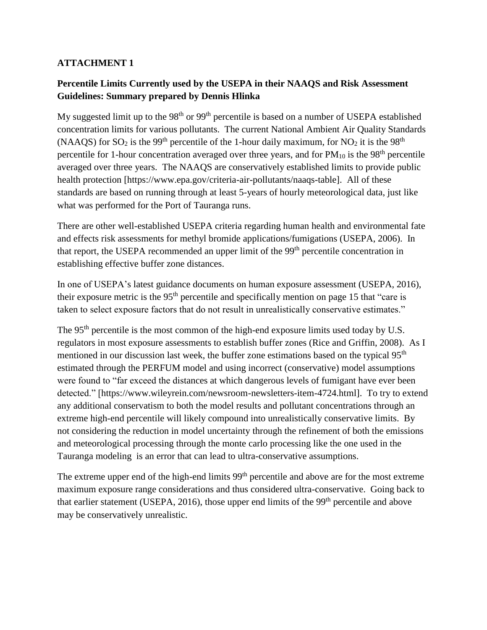## **ATTACHMENT 1**

## **Percentile Limits Currently used by the USEPA in their NAAQS and Risk Assessment Guidelines: Summary prepared by Dennis Hlinka**

My suggested limit up to the  $98<sup>th</sup>$  or  $99<sup>th</sup>$  percentile is based on a number of USEPA established concentration limits for various pollutants. The current National Ambient Air Quality Standards (NAAQS) for  $SO_2$  is the 99<sup>th</sup> percentile of the 1-hour daily maximum, for NO<sub>2</sub> it is the 98<sup>th</sup> percentile for 1-hour concentration averaged over three years, and for  $PM_{10}$  is the 98<sup>th</sup> percentile averaged over three years. The NAAQS are conservatively established limits to provide public health protection [https://www.epa.gov/criteria-air-pollutants/naaqs-table]. All of these standards are based on running through at least 5-years of hourly meteorological data, just like what was performed for the Port of Tauranga runs.

There are other well-established USEPA criteria regarding human health and environmental fate and effects risk assessments for methyl bromide applications/fumigations (USEPA, 2006). In that report, the USEPA recommended an upper limit of the 99<sup>th</sup> percentile concentration in establishing effective buffer zone distances.

In one of USEPA's latest guidance documents on human exposure assessment (USEPA, 2016), their exposure metric is the  $95<sup>th</sup>$  percentile and specifically mention on page 15 that "care is taken to select exposure factors that do not result in unrealistically conservative estimates."

The 95<sup>th</sup> percentile is the most common of the high-end exposure limits used today by U.S. regulators in most exposure assessments to establish buffer zones (Rice and Griffin, 2008). As I mentioned in our discussion last week, the buffer zone estimations based on the typical 95<sup>th</sup> estimated through the PERFUM model and using incorrect (conservative) model assumptions were found to "far exceed the distances at which dangerous levels of fumigant have ever been detected." [https://www.wileyrein.com/newsroom-newsletters-item-4724.html]. To try to extend any additional conservatism to both the model results and pollutant concentrations through an extreme high-end percentile will likely compound into unrealistically conservative limits. By not considering the reduction in model uncertainty through the refinement of both the emissions and meteorological processing through the monte carlo processing like the one used in the Tauranga modeling is an error that can lead to ultra-conservative assumptions.

The extreme upper end of the high-end limits 99<sup>th</sup> percentile and above are for the most extreme maximum exposure range considerations and thus considered ultra-conservative. Going back to that earlier statement (USEPA, 2016), those upper end limits of the  $99<sup>th</sup>$  percentile and above may be conservatively unrealistic.